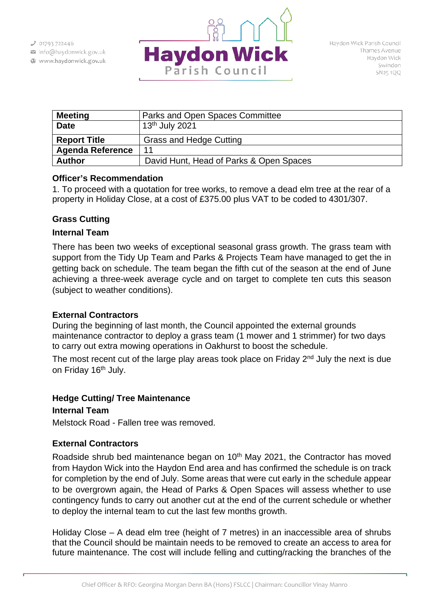info@haydonwick.gov.uk Www.haydonwick.gov.uk



| <b>Meeting</b>          | Parks and Open Spaces Committee         |
|-------------------------|-----------------------------------------|
| <b>Date</b>             | 13 <sup>th</sup> July 2021              |
| <b>Report Title</b>     | <b>Grass and Hedge Cutting</b>          |
| <b>Agenda Reference</b> | 11                                      |
| <b>Author</b>           | David Hunt, Head of Parks & Open Spaces |

### **Officer's Recommendation**

1. To proceed with a quotation for tree works, to remove a dead elm tree at the rear of a property in Holiday Close, at a cost of £375.00 plus VAT to be coded to 4301/307.

# **Grass Cutting**

### **Internal Team**

There has been two weeks of exceptional seasonal grass growth. The grass team with support from the Tidy Up Team and Parks & Projects Team have managed to get the in getting back on schedule. The team began the fifth cut of the season at the end of June achieving a three-week average cycle and on target to complete ten cuts this season (subject to weather conditions).

# **External Contractors**

During the beginning of last month, the Council appointed the external grounds maintenance contractor to deploy a grass team (1 mower and 1 strimmer) for two days to carry out extra mowing operations in Oakhurst to boost the schedule.

The most recent cut of the large play areas took place on Friday  $2<sup>nd</sup>$  July the next is due on Friday 16<sup>th</sup> July.

# **Hedge Cutting/ Tree Maintenance**

# **Internal Team**

Melstock Road - Fallen tree was removed.

# **External Contractors**

Roadside shrub bed maintenance began on 10<sup>th</sup> May 2021, the Contractor has moved from Haydon Wick into the Haydon End area and has confirmed the schedule is on track for completion by the end of July. Some areas that were cut early in the schedule appear to be overgrown again, the Head of Parks & Open Spaces will assess whether to use contingency funds to carry out another cut at the end of the current schedule or whether to deploy the internal team to cut the last few months growth.

Holiday Close – A dead elm tree (height of 7 metres) in an inaccessible area of shrubs that the Council should be maintain needs to be removed to create an access to area for future maintenance. The cost will include felling and cutting/racking the branches of the